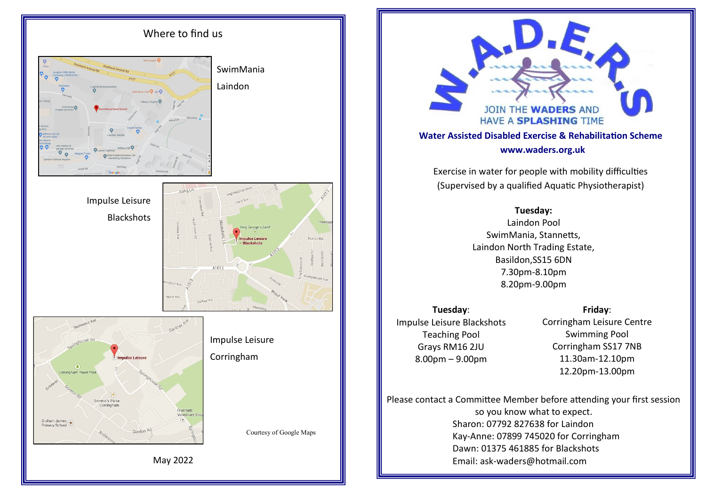



Exercise in water for people with mobility difficulties (Supervised by a qualified Aquatic Physiotherapist)

# **Tuesday:**

Laindon Pool SwimMania, Stannetts, Laindon North Trading Estate, Basildon,SS15 6DN 7.30pm-8.10pm 8.20pm-9.00pm

**Tuesday**: Impulse Leisure Blackshots Teaching Pool Grays RM16 2JU 8.00pm – 9.00pm

# **Friday**:

Corringham Leisure Centre Swimming Pool Corringham SS17 7NB 11.30am-12.10pm 12.20pm-13.00pm

Please contact a Committee Member before attending your first session so you know what to expect. Sharon: 07792 827638 for Laindon Kay-Anne: 07899 745020 for Corringham Dawn: 01375 461885 for Blackshots Email: ask-waders@hotmail.com